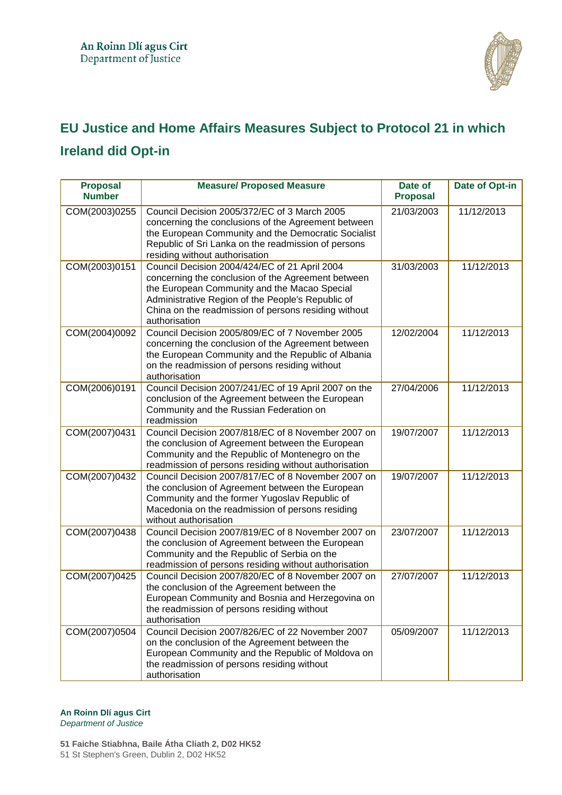

## **EU Justice and Home Affairs Measures Subject to Protocol 21 in which Ireland did Opt-in**

| <b>Proposal</b><br><b>Number</b> | <b>Measure/ Proposed Measure</b>                                                                                                                                                                                                                                                  | Date of<br><b>Proposal</b> | Date of Opt-in |
|----------------------------------|-----------------------------------------------------------------------------------------------------------------------------------------------------------------------------------------------------------------------------------------------------------------------------------|----------------------------|----------------|
| COM(2003)0255                    | Council Decision 2005/372/EC of 3 March 2005<br>concerning the conclusions of the Agreement between<br>the European Community and the Democratic Socialist<br>Republic of Sri Lanka on the readmission of persons<br>residing without authorisation                               | 21/03/2003                 | 11/12/2013     |
| COM(2003)0151                    | Council Decision 2004/424/EC of 21 April 2004<br>concerning the conclusion of the Agreement between<br>the European Community and the Macao Special<br>Administrative Region of the People's Republic of<br>China on the readmission of persons residing without<br>authorisation | 31/03/2003                 | 11/12/2013     |
| COM(2004)0092                    | Council Decision 2005/809/EC of 7 November 2005<br>concerning the conclusion of the Agreement between<br>the European Community and the Republic of Albania<br>on the readmission of persons residing without<br>authorisation                                                    | 12/02/2004                 | 11/12/2013     |
| COM(2006)0191                    | Council Decision 2007/241/EC of 19 April 2007 on the<br>conclusion of the Agreement between the European<br>Community and the Russian Federation on<br>readmission                                                                                                                | 27/04/2006                 | 11/12/2013     |
| COM(2007)0431                    | Council Decision 2007/818/EC of 8 November 2007 on<br>the conclusion of Agreement between the European<br>Community and the Republic of Montenegro on the<br>readmission of persons residing without authorisation                                                                | 19/07/2007                 | 11/12/2013     |
| COM(2007)0432                    | Council Decision 2007/817/EC of 8 November 2007 on<br>the conclusion of Agreement between the European<br>Community and the former Yugoslav Republic of<br>Macedonia on the readmission of persons residing<br>without authorisation                                              | 19/07/2007                 | 11/12/2013     |
| COM(2007)0438                    | Council Decision 2007/819/EC of 8 November 2007 on<br>the conclusion of Agreement between the European<br>Community and the Republic of Serbia on the<br>readmission of persons residing without authorisation                                                                    | 23/07/2007                 | 11/12/2013     |
| COM(2007)0425                    | Council Decision 2007/820/EC of 8 November 2007 on<br>the conclusion of the Agreement between the<br>European Community and Bosnia and Herzegovina on<br>the readmission of persons residing without<br>authorisation                                                             | 27/07/2007                 | 11/12/2013     |
| COM(2007)0504                    | Council Decision 2007/826/EC of 22 November 2007<br>on the conclusion of the Agreement between the<br>European Community and the Republic of Moldova on<br>the readmission of persons residing without<br>authorisation                                                           | 05/09/2007                 | 11/12/2013     |

## **An Roinn Dlí agus Cirt**

*Department of Justice* 

**51 Faiche Stiabhna, Baile Átha Cliath 2, D02 HK52** 51 St Stephen's Green, Dublin 2, D02 HK52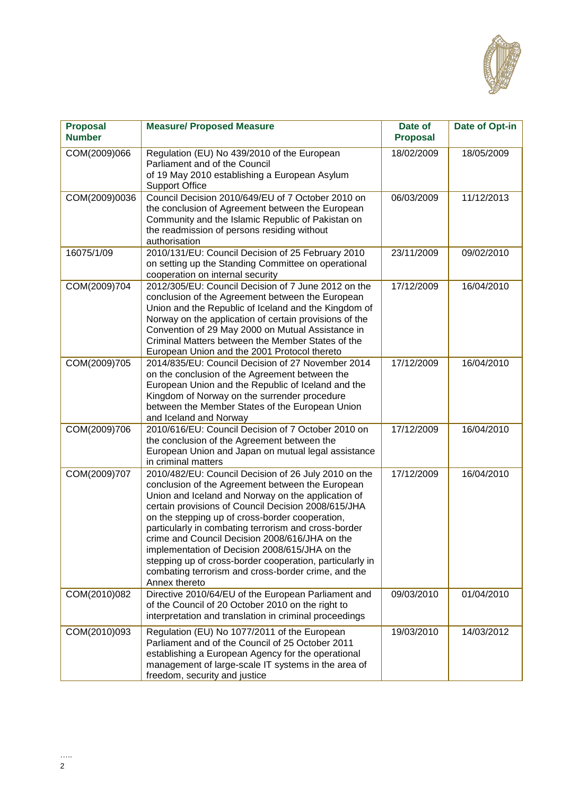

| <b>Proposal</b><br><b>Number</b> | <b>Measure/ Proposed Measure</b>                                                                                                                                                                                                                                                                                                                                                                                                                                                                                                                                         | Date of<br><b>Proposal</b> | Date of Opt-in |
|----------------------------------|--------------------------------------------------------------------------------------------------------------------------------------------------------------------------------------------------------------------------------------------------------------------------------------------------------------------------------------------------------------------------------------------------------------------------------------------------------------------------------------------------------------------------------------------------------------------------|----------------------------|----------------|
| COM(2009)066                     | Regulation (EU) No 439/2010 of the European<br>Parliament and of the Council<br>of 19 May 2010 establishing a European Asylum<br><b>Support Office</b>                                                                                                                                                                                                                                                                                                                                                                                                                   | 18/02/2009                 | 18/05/2009     |
| COM(2009)0036                    | Council Decision 2010/649/EU of 7 October 2010 on<br>the conclusion of Agreement between the European<br>Community and the Islamic Republic of Pakistan on<br>the readmission of persons residing without<br>authorisation                                                                                                                                                                                                                                                                                                                                               | 06/03/2009                 | 11/12/2013     |
| 16075/1/09                       | 2010/131/EU: Council Decision of 25 February 2010<br>on setting up the Standing Committee on operational<br>cooperation on internal security                                                                                                                                                                                                                                                                                                                                                                                                                             | 23/11/2009                 | 09/02/2010     |
| COM(2009)704                     | 2012/305/EU: Council Decision of 7 June 2012 on the<br>conclusion of the Agreement between the European<br>Union and the Republic of Iceland and the Kingdom of<br>Norway on the application of certain provisions of the<br>Convention of 29 May 2000 on Mutual Assistance in<br>Criminal Matters between the Member States of the<br>European Union and the 2001 Protocol thereto                                                                                                                                                                                      | 17/12/2009                 | 16/04/2010     |
| COM(2009)705                     | 2014/835/EU: Council Decision of 27 November 2014<br>on the conclusion of the Agreement between the<br>European Union and the Republic of Iceland and the<br>Kingdom of Norway on the surrender procedure<br>between the Member States of the European Union<br>and Iceland and Norway                                                                                                                                                                                                                                                                                   | 17/12/2009                 | 16/04/2010     |
| COM(2009)706                     | 2010/616/EU: Council Decision of 7 October 2010 on<br>the conclusion of the Agreement between the<br>European Union and Japan on mutual legal assistance<br>in criminal matters                                                                                                                                                                                                                                                                                                                                                                                          | 17/12/2009                 | 16/04/2010     |
| COM(2009)707                     | 2010/482/EU: Council Decision of 26 July 2010 on the<br>conclusion of the Agreement between the European<br>Union and Iceland and Norway on the application of<br>certain provisions of Council Decision 2008/615/JHA<br>on the stepping up of cross-border cooperation,<br>particularly in combating terrorism and cross-border<br>crime and Council Decision 2008/616/JHA on the<br>implementation of Decision 2008/615/JHA on the<br>stepping up of cross-border cooperation, particularly in<br>combating terrorism and cross-border crime, and the<br>Annex thereto | 17/12/2009                 | 16/04/2010     |
| COM(2010)082                     | Directive 2010/64/EU of the European Parliament and<br>of the Council of 20 October 2010 on the right to<br>interpretation and translation in criminal proceedings                                                                                                                                                                                                                                                                                                                                                                                                       | 09/03/2010                 | 01/04/2010     |
| COM(2010)093                     | Regulation (EU) No 1077/2011 of the European<br>Parliament and of the Council of 25 October 2011<br>establishing a European Agency for the operational<br>management of large-scale IT systems in the area of<br>freedom, security and justice                                                                                                                                                                                                                                                                                                                           | 19/03/2010                 | 14/03/2012     |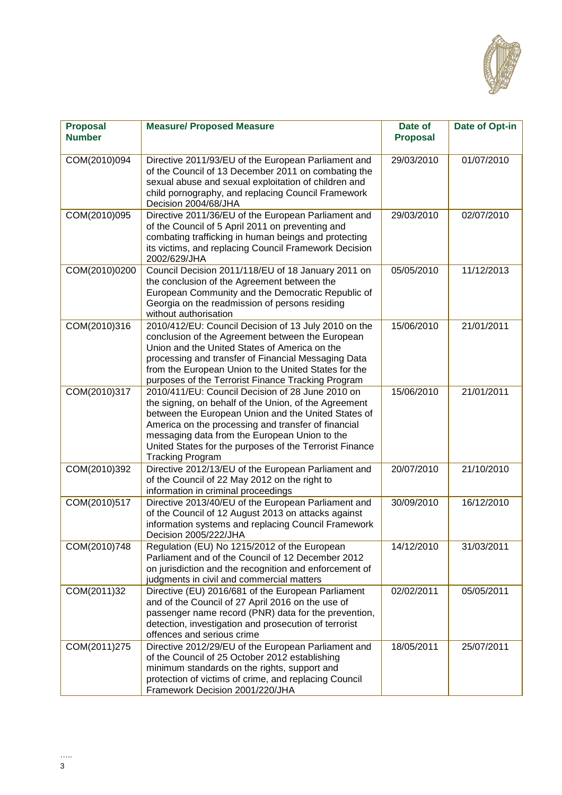

| <b>Proposal</b> | <b>Measure/ Proposed Measure</b>                                                                            | Date of         | Date of Opt-in |
|-----------------|-------------------------------------------------------------------------------------------------------------|-----------------|----------------|
| <b>Number</b>   |                                                                                                             | <b>Proposal</b> |                |
| COM(2010)094    | Directive 2011/93/EU of the European Parliament and                                                         | 29/03/2010      | 01/07/2010     |
|                 | of the Council of 13 December 2011 on combating the                                                         |                 |                |
|                 | sexual abuse and sexual exploitation of children and                                                        |                 |                |
|                 | child pornography, and replacing Council Framework<br>Decision 2004/68/JHA                                  |                 |                |
| COM(2010)095    | Directive 2011/36/EU of the European Parliament and                                                         | 29/03/2010      | 02/07/2010     |
|                 | of the Council of 5 April 2011 on preventing and                                                            |                 |                |
|                 | combating trafficking in human beings and protecting                                                        |                 |                |
|                 | its victims, and replacing Council Framework Decision<br>2002/629/JHA                                       |                 |                |
| COM(2010)0200   | Council Decision 2011/118/EU of 18 January 2011 on                                                          | 05/05/2010      | 11/12/2013     |
|                 | the conclusion of the Agreement between the                                                                 |                 |                |
|                 | European Community and the Democratic Republic of                                                           |                 |                |
|                 | Georgia on the readmission of persons residing<br>without authorisation                                     |                 |                |
| COM(2010)316    | 2010/412/EU: Council Decision of 13 July 2010 on the                                                        | 15/06/2010      | 21/01/2011     |
|                 | conclusion of the Agreement between the European                                                            |                 |                |
|                 | Union and the United States of America on the                                                               |                 |                |
|                 | processing and transfer of Financial Messaging Data<br>from the European Union to the United States for the |                 |                |
|                 | purposes of the Terrorist Finance Tracking Program                                                          |                 |                |
| COM(2010)317    | 2010/411/EU: Council Decision of 28 June 2010 on                                                            | 15/06/2010      | 21/01/2011     |
|                 | the signing, on behalf of the Union, of the Agreement                                                       |                 |                |
|                 | between the European Union and the United States of                                                         |                 |                |
|                 | America on the processing and transfer of financial                                                         |                 |                |
|                 | messaging data from the European Union to the<br>United States for the purposes of the Terrorist Finance    |                 |                |
|                 | <b>Tracking Program</b>                                                                                     |                 |                |
| COM(2010)392    | Directive 2012/13/EU of the European Parliament and                                                         | 20/07/2010      | 21/10/2010     |
|                 | of the Council of 22 May 2012 on the right to                                                               |                 |                |
|                 | information in criminal proceedings                                                                         |                 |                |
| COM(2010)517    | Directive 2013/40/EU of the European Parliament and                                                         | 30/09/2010      | 16/12/2010     |
|                 | of the Council of 12 August 2013 on attacks against<br>information systems and replacing Council Framework  |                 |                |
|                 | Decision 2005/222/JHA                                                                                       |                 |                |
| COM(2010)748    | Regulation (EU) No 1215/2012 of the European                                                                | 14/12/2010      | 31/03/2011     |
|                 | Parliament and of the Council of 12 December 2012                                                           |                 |                |
|                 | on jurisdiction and the recognition and enforcement of                                                      |                 |                |
|                 | judgments in civil and commercial matters                                                                   |                 |                |
| COM(2011)32     | Directive (EU) 2016/681 of the European Parliament<br>and of the Council of 27 April 2016 on the use of     | 02/02/2011      | 05/05/2011     |
|                 | passenger name record (PNR) data for the prevention,                                                        |                 |                |
|                 | detection, investigation and prosecution of terrorist                                                       |                 |                |
|                 | offences and serious crime                                                                                  |                 |                |
| COM(2011)275    | Directive 2012/29/EU of the European Parliament and                                                         | 18/05/2011      | 25/07/2011     |
|                 | of the Council of 25 October 2012 establishing<br>minimum standards on the rights, support and              |                 |                |
|                 | protection of victims of crime, and replacing Council                                                       |                 |                |
|                 | Framework Decision 2001/220/JHA                                                                             |                 |                |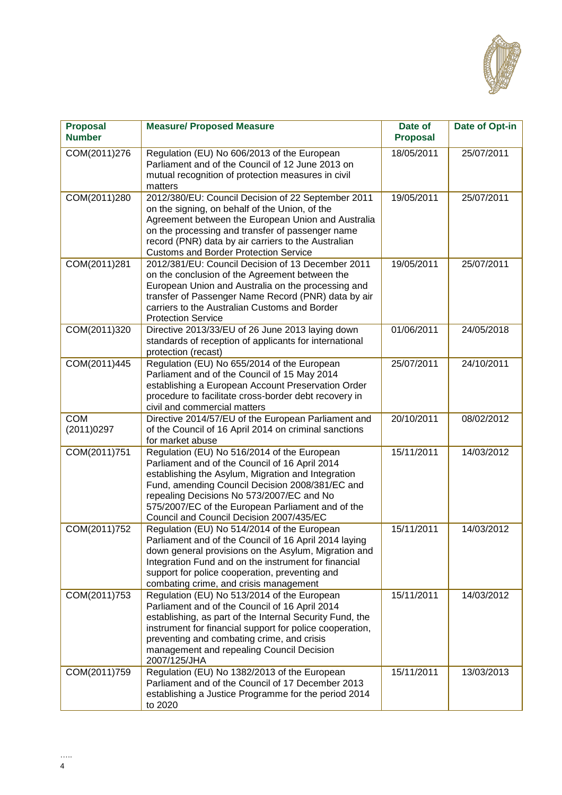

| <b>Proposal</b><br><b>Number</b> | <b>Measure/ Proposed Measure</b>                                                                                                                                                                                                                                                                                                                     | Date of<br><b>Proposal</b> | Date of Opt-in |
|----------------------------------|------------------------------------------------------------------------------------------------------------------------------------------------------------------------------------------------------------------------------------------------------------------------------------------------------------------------------------------------------|----------------------------|----------------|
| COM(2011)276                     | Regulation (EU) No 606/2013 of the European<br>Parliament and of the Council of 12 June 2013 on<br>mutual recognition of protection measures in civil<br>matters                                                                                                                                                                                     | 18/05/2011                 | 25/07/2011     |
| COM(2011)280                     | 2012/380/EU: Council Decision of 22 September 2011<br>on the signing, on behalf of the Union, of the<br>Agreement between the European Union and Australia<br>on the processing and transfer of passenger name<br>record (PNR) data by air carriers to the Australian<br><b>Customs and Border Protection Service</b>                                | 19/05/2011                 | 25/07/2011     |
| COM(2011)281                     | 2012/381/EU: Council Decision of 13 December 2011<br>on the conclusion of the Agreement between the<br>European Union and Australia on the processing and<br>transfer of Passenger Name Record (PNR) data by air<br>carriers to the Australian Customs and Border<br><b>Protection Service</b>                                                       | 19/05/2011                 | 25/07/2011     |
| COM(2011)320                     | Directive 2013/33/EU of 26 June 2013 laying down<br>standards of reception of applicants for international<br>protection (recast)                                                                                                                                                                                                                    | 01/06/2011                 | 24/05/2018     |
| COM(2011)445                     | Regulation (EU) No 655/2014 of the European<br>Parliament and of the Council of 15 May 2014<br>establishing a European Account Preservation Order<br>procedure to facilitate cross-border debt recovery in<br>civil and commercial matters                                                                                                           | 25/07/2011                 | 24/10/2011     |
| <b>COM</b><br>(2011)0297         | Directive 2014/57/EU of the European Parliament and<br>of the Council of 16 April 2014 on criminal sanctions<br>for market abuse                                                                                                                                                                                                                     | 20/10/2011                 | 08/02/2012     |
| COM(2011)751                     | Regulation (EU) No 516/2014 of the European<br>Parliament and of the Council of 16 April 2014<br>establishing the Asylum, Migration and Integration<br>Fund, amending Council Decision 2008/381/EC and<br>repealing Decisions No 573/2007/EC and No<br>575/2007/EC of the European Parliament and of the<br>Council and Council Decision 2007/435/EC | 15/11/2011                 | 14/03/2012     |
| COM(2011)752                     | Regulation (EU) No 514/2014 of the European<br>Parliament and of the Council of 16 April 2014 laying<br>down general provisions on the Asylum, Migration and<br>Integration Fund and on the instrument for financial<br>support for police cooperation, preventing and<br>combating crime, and crisis management                                     | 15/11/2011                 | 14/03/2012     |
| COM(2011)753                     | Regulation (EU) No 513/2014 of the European<br>Parliament and of the Council of 16 April 2014<br>establishing, as part of the Internal Security Fund, the<br>instrument for financial support for police cooperation,<br>preventing and combating crime, and crisis<br>management and repealing Council Decision<br>2007/125/JHA                     | 15/11/2011                 | 14/03/2012     |
| COM(2011)759                     | Regulation (EU) No 1382/2013 of the European<br>Parliament and of the Council of 17 December 2013<br>establishing a Justice Programme for the period 2014<br>to 2020                                                                                                                                                                                 | 15/11/2011                 | 13/03/2013     |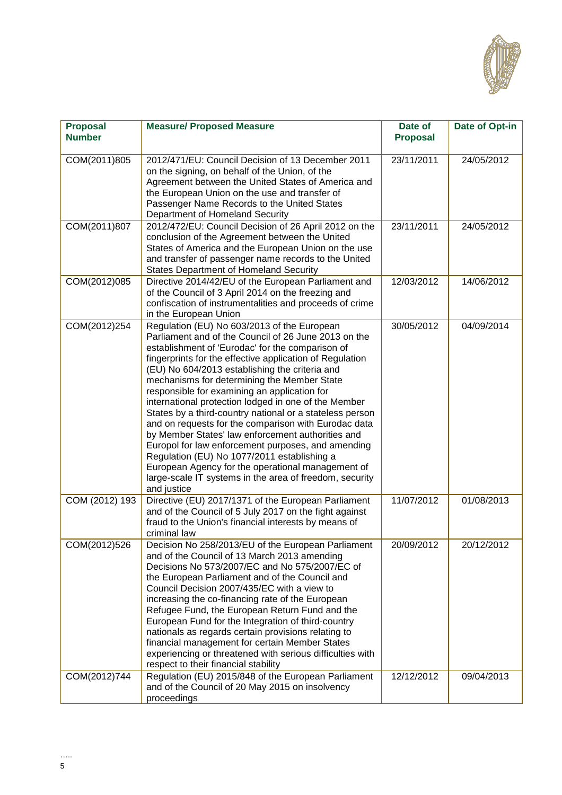

| <b>Proposal</b><br><b>Number</b> | <b>Measure/ Proposed Measure</b>                                                                                                                                                                                                                                                                                                                                                                                                                                                                                                                                                                                                                                                                                                                                                                                                          | Date of<br><b>Proposal</b> | Date of Opt-in |
|----------------------------------|-------------------------------------------------------------------------------------------------------------------------------------------------------------------------------------------------------------------------------------------------------------------------------------------------------------------------------------------------------------------------------------------------------------------------------------------------------------------------------------------------------------------------------------------------------------------------------------------------------------------------------------------------------------------------------------------------------------------------------------------------------------------------------------------------------------------------------------------|----------------------------|----------------|
| COM(2011)805                     | 2012/471/EU: Council Decision of 13 December 2011<br>on the signing, on behalf of the Union, of the<br>Agreement between the United States of America and<br>the European Union on the use and transfer of<br>Passenger Name Records to the United States<br>Department of Homeland Security                                                                                                                                                                                                                                                                                                                                                                                                                                                                                                                                              | 23/11/2011                 | 24/05/2012     |
| COM(2011)807                     | 2012/472/EU: Council Decision of 26 April 2012 on the<br>conclusion of the Agreement between the United<br>States of America and the European Union on the use<br>and transfer of passenger name records to the United<br><b>States Department of Homeland Security</b>                                                                                                                                                                                                                                                                                                                                                                                                                                                                                                                                                                   | 23/11/2011                 | 24/05/2012     |
| COM(2012)085                     | Directive 2014/42/EU of the European Parliament and<br>of the Council of 3 April 2014 on the freezing and<br>confiscation of instrumentalities and proceeds of crime<br>in the European Union                                                                                                                                                                                                                                                                                                                                                                                                                                                                                                                                                                                                                                             | 12/03/2012                 | 14/06/2012     |
| COM(2012)254                     | Regulation (EU) No 603/2013 of the European<br>Parliament and of the Council of 26 June 2013 on the<br>establishment of 'Eurodac' for the comparison of<br>fingerprints for the effective application of Regulation<br>(EU) No 604/2013 establishing the criteria and<br>mechanisms for determining the Member State<br>responsible for examining an application for<br>international protection lodged in one of the Member<br>States by a third-country national or a stateless person<br>and on requests for the comparison with Eurodac data<br>by Member States' law enforcement authorities and<br>Europol for law enforcement purposes, and amending<br>Regulation (EU) No 1077/2011 establishing a<br>European Agency for the operational management of<br>large-scale IT systems in the area of freedom, security<br>and justice | 30/05/2012                 | 04/09/2014     |
| COM (2012) 193                   | Directive (EU) 2017/1371 of the European Parliament<br>and of the Council of 5 July 2017 on the fight against<br>fraud to the Union's financial interests by means of<br>criminal law                                                                                                                                                                                                                                                                                                                                                                                                                                                                                                                                                                                                                                                     | 11/07/2012                 | 01/08/2013     |
| COM(2012)526                     | Decision No 258/2013/EU of the European Parliament<br>and of the Council of 13 March 2013 amending<br>Decisions No 573/2007/EC and No 575/2007/EC of<br>the European Parliament and of the Council and<br>Council Decision 2007/435/EC with a view to<br>increasing the co-financing rate of the European<br>Refugee Fund, the European Return Fund and the<br>European Fund for the Integration of third-country<br>nationals as regards certain provisions relating to<br>financial management for certain Member States<br>experiencing or threatened with serious difficulties with<br>respect to their financial stability                                                                                                                                                                                                           | 20/09/2012                 | 20/12/2012     |
| COM(2012)744                     | Regulation (EU) 2015/848 of the European Parliament<br>and of the Council of 20 May 2015 on insolvency<br>proceedings                                                                                                                                                                                                                                                                                                                                                                                                                                                                                                                                                                                                                                                                                                                     | 12/12/2012                 | 09/04/2013     |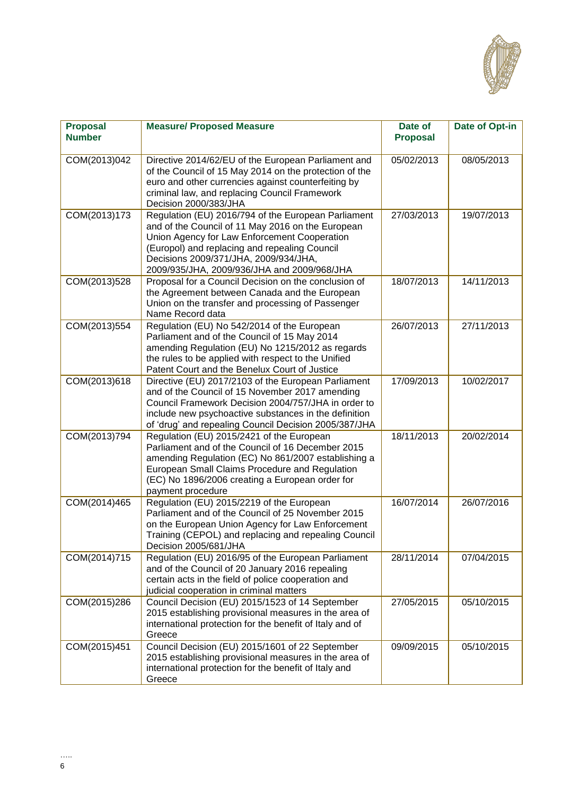

| <b>Proposal</b><br><b>Number</b> | <b>Measure/ Proposed Measure</b>                                                                                                                                                                                                                                                                  | Date of<br><b>Proposal</b> | Date of Opt-in |
|----------------------------------|---------------------------------------------------------------------------------------------------------------------------------------------------------------------------------------------------------------------------------------------------------------------------------------------------|----------------------------|----------------|
| COM(2013)042                     | Directive 2014/62/EU of the European Parliament and<br>of the Council of 15 May 2014 on the protection of the<br>euro and other currencies against counterfeiting by<br>criminal law, and replacing Council Framework<br>Decision 2000/383/JHA                                                    | 05/02/2013                 | 08/05/2013     |
| COM(2013)173                     | Regulation (EU) 2016/794 of the European Parliament<br>and of the Council of 11 May 2016 on the European<br>Union Agency for Law Enforcement Cooperation<br>(Europol) and replacing and repealing Council<br>Decisions 2009/371/JHA, 2009/934/JHA,<br>2009/935/JHA, 2009/936/JHA and 2009/968/JHA | 27/03/2013                 | 19/07/2013     |
| COM(2013)528                     | Proposal for a Council Decision on the conclusion of<br>the Agreement between Canada and the European<br>Union on the transfer and processing of Passenger<br>Name Record data                                                                                                                    | 18/07/2013                 | 14/11/2013     |
| COM(2013)554                     | Regulation (EU) No 542/2014 of the European<br>Parliament and of the Council of 15 May 2014<br>amending Regulation (EU) No 1215/2012 as regards<br>the rules to be applied with respect to the Unified<br>Patent Court and the Benelux Court of Justice                                           | 26/07/2013                 | 27/11/2013     |
| COM(2013)618                     | Directive (EU) 2017/2103 of the European Parliament<br>and of the Council of 15 November 2017 amending<br>Council Framework Decision 2004/757/JHA in order to<br>include new psychoactive substances in the definition<br>of 'drug' and repealing Council Decision 2005/387/JHA                   | 17/09/2013                 | 10/02/2017     |
| COM(2013)794                     | Regulation (EU) 2015/2421 of the European<br>Parliament and of the Council of 16 December 2015<br>amending Regulation (EC) No 861/2007 establishing a<br>European Small Claims Procedure and Regulation<br>(EC) No 1896/2006 creating a European order for<br>payment procedure                   | 18/11/2013                 | 20/02/2014     |
| COM(2014)465                     | Regulation (EU) 2015/2219 of the European<br>Parliament and of the Council of 25 November 2015<br>on the European Union Agency for Law Enforcement<br>Training (CEPOL) and replacing and repealing Council<br>Decision 2005/681/JHA                                                               | 16/07/2014                 | 26/07/2016     |
| COM(2014)715                     | Regulation (EU) 2016/95 of the European Parliament<br>and of the Council of 20 January 2016 repealing<br>certain acts in the field of police cooperation and<br>judicial cooperation in criminal matters                                                                                          | 28/11/2014                 | 07/04/2015     |
| COM(2015)286                     | Council Decision (EU) 2015/1523 of 14 September<br>2015 establishing provisional measures in the area of<br>international protection for the benefit of Italy and of<br>Greece                                                                                                                    | 27/05/2015                 | 05/10/2015     |
| COM(2015)451                     | Council Decision (EU) 2015/1601 of 22 September<br>2015 establishing provisional measures in the area of<br>international protection for the benefit of Italy and<br>Greece                                                                                                                       | 09/09/2015                 | 05/10/2015     |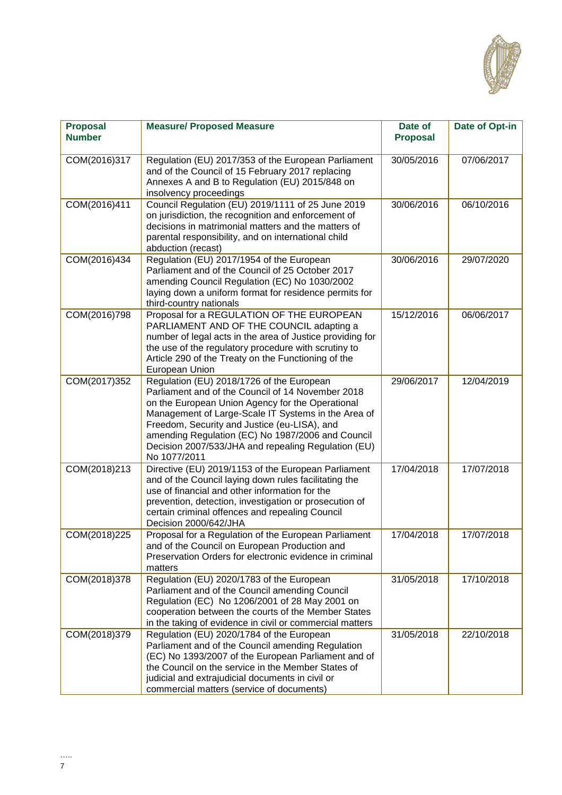

| <b>Proposal</b><br><b>Number</b> | <b>Measure/ Proposed Measure</b>                                                                                                                                                                                                                                                                                                                                                      | Date of<br><b>Proposal</b> | Date of Opt-in |
|----------------------------------|---------------------------------------------------------------------------------------------------------------------------------------------------------------------------------------------------------------------------------------------------------------------------------------------------------------------------------------------------------------------------------------|----------------------------|----------------|
| COM(2016)317                     | Regulation (EU) 2017/353 of the European Parliament<br>and of the Council of 15 February 2017 replacing<br>Annexes A and B to Regulation (EU) 2015/848 on<br>insolvency proceedings                                                                                                                                                                                                   | 30/05/2016                 | 07/06/2017     |
| COM(2016)411                     | Council Regulation (EU) 2019/1111 of 25 June 2019<br>on jurisdiction, the recognition and enforcement of<br>decisions in matrimonial matters and the matters of<br>parental responsibility, and on international child<br>abduction (recast)                                                                                                                                          | 30/06/2016                 | 06/10/2016     |
| COM(2016)434                     | Regulation (EU) 2017/1954 of the European<br>Parliament and of the Council of 25 October 2017<br>amending Council Regulation (EC) No 1030/2002<br>laying down a uniform format for residence permits for<br>third-country nationals                                                                                                                                                   | 30/06/2016                 | 29/07/2020     |
| COM(2016)798                     | Proposal for a REGULATION OF THE EUROPEAN<br>PARLIAMENT AND OF THE COUNCIL adapting a<br>number of legal acts in the area of Justice providing for<br>the use of the regulatory procedure with scrutiny to<br>Article 290 of the Treaty on the Functioning of the<br>European Union                                                                                                   | 15/12/2016                 | 06/06/2017     |
| COM(2017)352                     | Regulation (EU) 2018/1726 of the European<br>Parliament and of the Council of 14 November 2018<br>on the European Union Agency for the Operational<br>Management of Large-Scale IT Systems in the Area of<br>Freedom, Security and Justice (eu-LISA), and<br>amending Regulation (EC) No 1987/2006 and Council<br>Decision 2007/533/JHA and repealing Regulation (EU)<br>No 1077/2011 | 29/06/2017                 | 12/04/2019     |
| COM(2018)213                     | Directive (EU) 2019/1153 of the European Parliament<br>and of the Council laying down rules facilitating the<br>use of financial and other information for the<br>prevention, detection, investigation or prosecution of<br>certain criminal offences and repealing Council<br>Decision 2000/642/JHA                                                                                  | 17/04/2018                 | 17/07/2018     |
| COM(2018)225                     | Proposal for a Regulation of the European Parliament<br>and of the Council on European Production and<br>Preservation Orders for electronic evidence in criminal<br>matters                                                                                                                                                                                                           | 17/04/2018                 | 17/07/2018     |
| COM(2018)378                     | Regulation (EU) 2020/1783 of the European<br>Parliament and of the Council amending Council<br>Regulation (EC) No 1206/2001 of 28 May 2001 on<br>cooperation between the courts of the Member States<br>in the taking of evidence in civil or commercial matters                                                                                                                      | 31/05/2018                 | 17/10/2018     |
| COM(2018)379                     | Regulation (EU) 2020/1784 of the European<br>Parliament and of the Council amending Regulation<br>(EC) No 1393/2007 of the European Parliament and of<br>the Council on the service in the Member States of<br>judicial and extrajudicial documents in civil or<br>commercial matters (service of documents)                                                                          | 31/05/2018                 | 22/10/2018     |